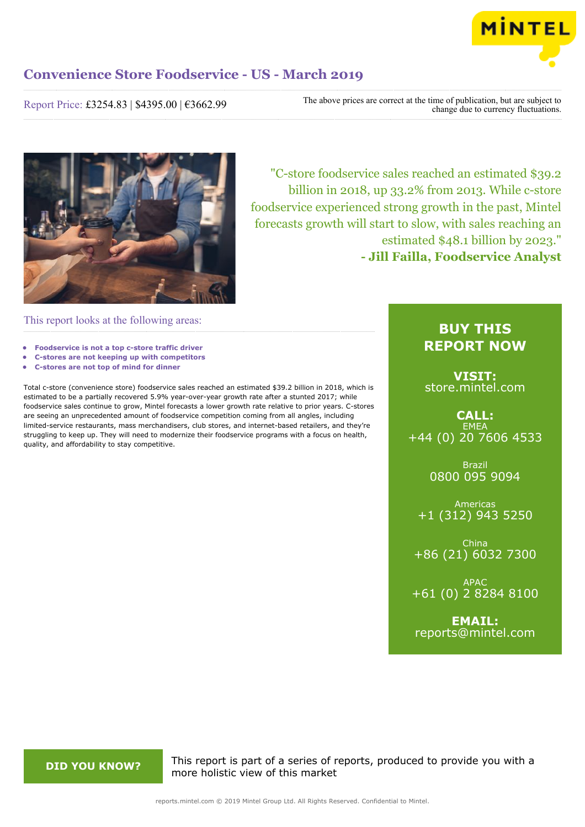

Report Price: £3254.83 | \$4395.00 | €3662.99

The above prices are correct at the time of publication, but are subject to change due to currency fluctuations.



"C-store foodservice sales reached an estimated \$39.2 billion in 2018, up 33.2% from 2013. While c-store foodservice experienced strong growth in the past, Mintel forecasts growth will start to slow, with sales reaching an estimated \$48.1 billion by 2023." **- Jill Failla, Foodservice Analyst**

This report looks at the following areas:

- **• Foodservice is not a top c-store traffic driver**
- **• C-stores are not keeping up with competitors**
- **• C-stores are not top of mind for dinner**

Total c-store (convenience store) foodservice sales reached an estimated \$39.2 billion in 2018, which is estimated to be a partially recovered 5.9% year-over-year growth rate after a stunted 2017; while foodservice sales continue to grow, Mintel forecasts a lower growth rate relative to prior years. C-stores are seeing an unprecedented amount of foodservice competition coming from all angles, including limited-service restaurants, mass merchandisers, club stores, and internet-based retailers, and they're struggling to keep up. They will need to modernize their foodservice programs with a focus on health, quality, and affordability to stay competitive.

## **BUY THIS REPORT NOW**

**VISIT:** [store.mintel.com](http://reports.mintel.com//display/store/919352/)

**CALL: EMEA** +44 (0) 20 7606 4533

> Brazil 0800 095 9094

Americas +1 (312) 943 5250

China +86 (21) 6032 7300

APAC +61 (0) 2 8284 8100

**EMAIL:** [reports@mintel.com](mailto:reports@mintel.com)

**DID YOU KNOW?** This report is part of a series of reports, produced to provide you with a more holistic view of this market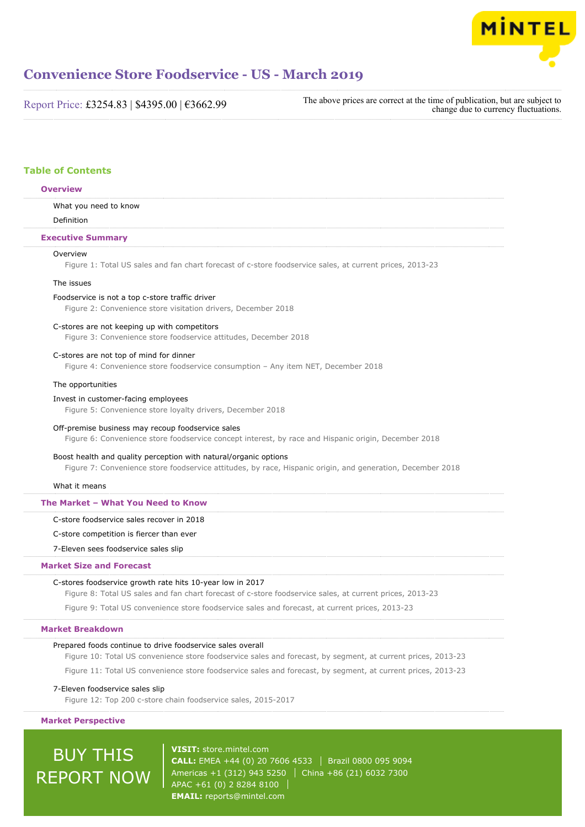

Report Price: £3254.83 | \$4395.00 | €3662.99

The above prices are correct at the time of publication, but are subject to change due to currency fluctuations.

## **Table of Contents**

## **Overview**

What you need to know

Definition

**Executive Summary**

## Overview

Figure 1: Total US sales and fan chart forecast of c-store foodservice sales, at current prices, 2013-23

## The issues

Foodservice is not a top c-store traffic driver

Figure 2: Convenience store visitation drivers, December 2018

### C-stores are not keeping up with competitors

Figure 3: Convenience store foodservice attitudes, December 2018

## C-stores are not top of mind for dinner

Figure 4: Convenience store foodservice consumption – Any item NET, December 2018

#### The opportunities

#### Invest in customer-facing employees

Figure 5: Convenience store loyalty drivers, December 2018

#### Off-premise business may recoup foodservice sales

Figure 6: Convenience store foodservice concept interest, by race and Hispanic origin, December 2018

## Boost health and quality perception with natural/organic options

Figure 7: Convenience store foodservice attitudes, by race, Hispanic origin, and generation, December 2018

#### What it means

### **The Market – What You Need to Know**

C-store foodservice sales recover in 2018

## C-store competition is fiercer than ever

7-Eleven sees foodservice sales slip

## **Market Size and Forecast**

## C-stores foodservice growth rate hits 10-year low in 2017

Figure 8: Total US sales and fan chart forecast of c-store foodservice sales, at current prices, 2013-23

Figure 9: Total US convenience store foodservice sales and forecast, at current prices, 2013-23

## **Market Breakdown**

### Prepared foods continue to drive foodservice sales overall

Figure 10: Total US convenience store foodservice sales and forecast, by segment, at current prices, 2013-23

Figure 11: Total US convenience store foodservice sales and forecast, by segment, at current prices, 2013-23

### 7-Eleven foodservice sales slip

Figure 12: Top 200 c-store chain foodservice sales, 2015-2017

### **Market Perspective**

# BUY THIS REPORT NOW

**VISIT:** [store.mintel.com](http://reports.mintel.com//display/store/919352/) **CALL:** EMEA +44 (0) 20 7606 4533 | Brazil 0800 095 9094 Americas +1 (312) 943 5250 | China +86 (21) 6032 7300 APAC +61 (0) 2 8284 8100 **EMAIL:** [reports@mintel.com](mailto:reports@mintel.com)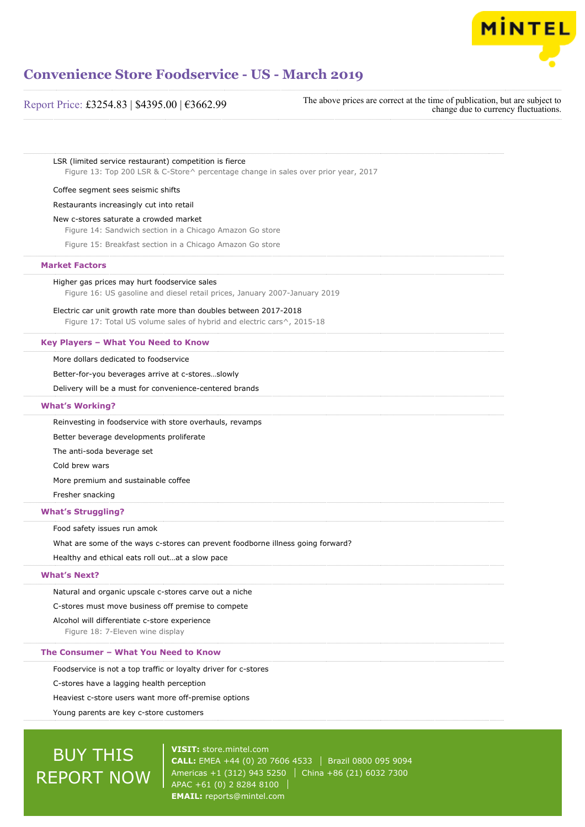

## Report Price: £3254.83 | \$4395.00 | €3662.99

The above prices are correct at the time of publication, but are subject to change due to currency fluctuations.

LSR (limited service restaurant) competition is fierce Figure 13: Top 200 LSR & C-Store^ percentage change in sales over prior year, 2017

#### Coffee segment sees seismic shifts

Restaurants increasingly cut into retail

New c-stores saturate a crowded market

Figure 14: Sandwich section in a Chicago Amazon Go store

Figure 15: Breakfast section in a Chicago Amazon Go store

## **Market Factors**

Higher gas prices may hurt foodservice sales

Figure 16: US gasoline and diesel retail prices, January 2007-January 2019

### Electric car unit growth rate more than doubles between 2017-2018

Figure 17: Total US volume sales of hybrid and electric cars^, 2015-18

### **Key Players – What You Need to Know**

More dollars dedicated to foodservice

Better-for-you beverages arrive at c-stores…slowly

Delivery will be a must for convenience-centered brands

## **What's Working?**

Reinvesting in foodservice with store overhauls, revamps

Better beverage developments proliferate

The anti-soda beverage set

Cold brew wars

More premium and sustainable coffee

Fresher snacking

## **What's Struggling?**

Food safety issues run amok

What are some of the ways c-stores can prevent foodborne illness going forward?

Healthy and ethical eats roll out…at a slow pace

## **What's Next?**

Natural and organic upscale c-stores carve out a niche

C-stores must move business off premise to compete

### Alcohol will differentiate c-store experience

Figure 18: 7-Eleven wine display

### **The Consumer – What You Need to Know**

Foodservice is not a top traffic or loyalty driver for c-stores

C-stores have a lagging health perception

Heaviest c-store users want more off-premise options

Young parents are key c-store customers

# BUY THIS REPORT NOW

**VISIT:** [store.mintel.com](http://reports.mintel.com//display/store/919352/) **CALL:** EMEA +44 (0) 20 7606 4533 | Brazil 0800 095 9094 Americas +1 (312) 943 5250 | China +86 (21) 6032 7300 APAC +61 (0) 2 8284 8100 **EMAIL:** [reports@mintel.com](mailto:reports@mintel.com)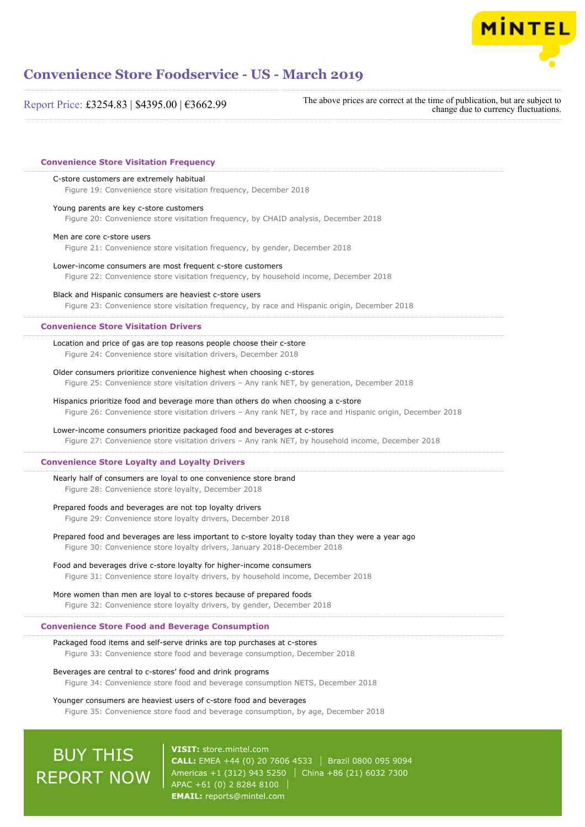

Report Price: £3254.83 | \$4395.00 | €3662.99

The above prices are correct at the time of publication, but are subject to change due to currency fluctuations.

| C-store customers are extremely habitual<br>Figure 19: Convenience store visitation frequency, December 2018 |
|--------------------------------------------------------------------------------------------------------------|
| Young parents are key c-store customers                                                                      |
| Figure 20: Convenience store visitation frequency, by CHAID analysis, December 2018                          |
| Men are core c-store users                                                                                   |
| Figure 21: Convenience store visitation frequency, by gender, December 2018                                  |
| Lower-income consumers are most frequent c-store customers                                                   |
| Figure 22: Convenience store visitation frequency, by household income, December 2018                        |
| Black and Hispanic consumers are heaviest c-store users                                                      |
| Figure 23: Convenience store visitation frequency, by race and Hispanic origin, December 2018                |
| <b>Convenience Store Visitation Drivers</b>                                                                  |
| Location and price of gas are top reasons people choose their c-store                                        |
| Figure 24: Convenience store visitation drivers, December 2018                                               |
| Older consumers prioritize convenience highest when choosing c-stores                                        |
| Figure 25: Convenience store visitation drivers - Any rank NET, by generation, December 2018                 |
| Hispanics prioritize food and beverage more than others do when choosing a c-store                           |
| Figure 26: Convenience store visitation drivers - Any rank NET, by race and Hispanic origin, December 2018   |
| Lower-income consumers prioritize packaged food and beverages at c-stores                                    |
| Figure 27: Convenience store visitation drivers - Any rank NET, by household income, December 2018           |
| <b>Convenience Store Loyalty and Loyalty Drivers</b>                                                         |
| Nearly half of consumers are loyal to one convenience store brand                                            |
| Figure 28: Convenience store loyalty, December 2018                                                          |
| Prepared foods and beverages are not top loyalty drivers                                                     |
| Figure 29: Convenience store loyalty drivers, December 2018                                                  |
| Prepared food and beverages are less important to c-store loyalty today than they were a year ago            |
| Figure 30: Convenience store loyalty drivers, January 2018-December 2018                                     |
| Food and beverages drive c-store loyalty for higher-income consumers                                         |
| Figure 31: Convenience store loyalty drivers, by household income, December 2018                             |
| More women than men are loyal to c-stores because of prepared foods                                          |
| Figure 32: Convenience store loyalty drivers, by gender, December 2018                                       |
| <b>Convenience Store Food and Beverage Consumption</b>                                                       |
| Packaged food items and self-serve drinks are top purchases at c-stores                                      |
| Figure 33: Convenience store food and beverage consumption, December 2018                                    |
| Beverages are central to c-stores' food and drink programs                                                   |
| Figure 34: Convenience store food and beverage consumption NETS, December 2018                               |
| Younger consumers are heaviest users of c-store food and beverages                                           |

# BUY THIS REPORT NOW

**VISIT:** [store.mintel.com](http://reports.mintel.com//display/store/919352/) **CALL:** EMEA +44 (0) 20 7606 4533 | Brazil 0800 095 9094 Americas +1 (312) 943 5250  $\vert$  China +86 (21) 6032 7300 APAC +61 (0) 2 8284 8100 **EMAIL:** [reports@mintel.com](mailto:reports@mintel.com)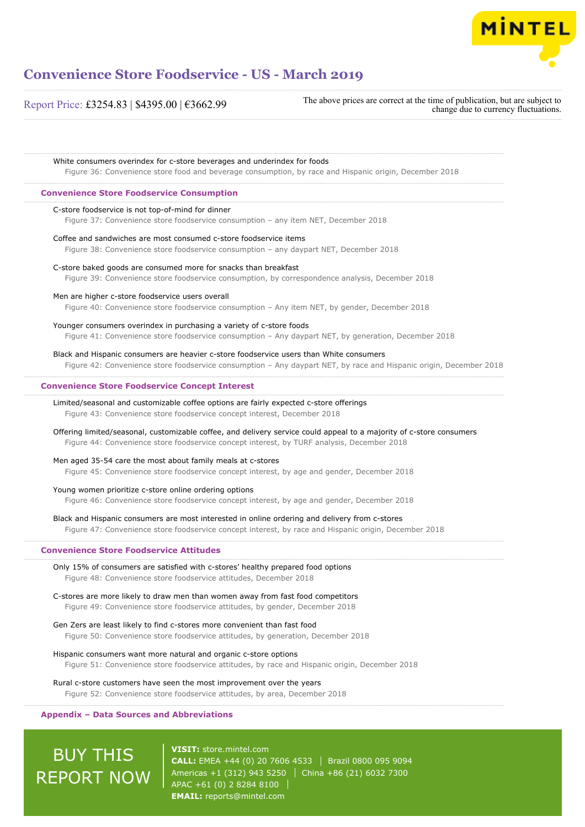

Report Price: £3254.83 | \$4395.00 | €3662.99

The above prices are correct at the time of publication, but are subject to change due to currency fluctuations.

| Figure 36: Convenience store food and beverage consumption, by race and Hispanic origin, December 2018                                                                                                             |
|--------------------------------------------------------------------------------------------------------------------------------------------------------------------------------------------------------------------|
| <b>Convenience Store Foodservice Consumption</b>                                                                                                                                                                   |
| C-store foodservice is not top-of-mind for dinner<br>Figure 37: Convenience store foodservice consumption - any item NET, December 2018                                                                            |
| Coffee and sandwiches are most consumed c-store foodservice items<br>Figure 38: Convenience store foodservice consumption - any daypart NET, December 2018                                                         |
| C-store baked goods are consumed more for snacks than breakfast<br>Figure 39: Convenience store foodservice consumption, by correspondence analysis, December 2018                                                 |
| Men are higher c-store foodservice users overall<br>Figure 40: Convenience store foodservice consumption - Any item NET, by gender, December 2018                                                                  |
| Younger consumers overindex in purchasing a variety of c-store foods<br>Figure 41: Convenience store foodservice consumption - Any daypart NET, by generation, December 2018                                       |
| Black and Hispanic consumers are heavier c-store foodservice users than White consumers<br>Figure 42: Convenience store foodservice consumption - Any daypart NET, by race and Hispanic origin, December 2018      |
| <b>Convenience Store Foodservice Concept Interest</b>                                                                                                                                                              |
| Limited/seasonal and customizable coffee options are fairly expected c-store offerings<br>Figure 43: Convenience store foodservice concept interest, December 2018                                                 |
| Offering limited/seasonal, customizable coffee, and delivery service could appeal to a majority of c-store consumers<br>Figure 44: Convenience store foodservice concept interest, by TURF analysis, December 2018 |
| Men aged 35-54 care the most about family meals at c-stores<br>Figure 45: Convenience store foodservice concept interest, by age and gender, December 2018                                                         |
| Young women prioritize c-store online ordering options<br>Figure 46: Convenience store foodservice concept interest, by age and gender, December 2018                                                              |
| Black and Hispanic consumers are most interested in online ordering and delivery from c-stores<br>Figure 47: Convenience store foodservice concept interest, by race and Hispanic origin, December 2018            |
| <b>Convenience Store Foodservice Attitudes</b>                                                                                                                                                                     |
| Only 15% of consumers are satisfied with c-stores' healthy prepared food options<br>Figure 48: Convenience store foodservice attitudes, December 2018                                                              |
| C-stores are more likely to draw men than women away from fast food competitors<br>Figure 49: Convenience store foodservice attitudes, by gender, December 2018                                                    |
| Gen Zers are least likely to find c-stores more convenient than fast food<br>Figure 50: Convenience store foodservice attitudes, by generation, December 2018                                                      |
| Hispanic consumers want more natural and organic c-store options<br>Figure 51: Convenience store foodservice attitudes, by race and Hispanic origin, December 2018                                                 |
| Rural c-store customers have seen the most improvement over the years<br>Figure 52: Convenience store foodservice attitudes, by area, December 2018                                                                |

# **BUY THIS** REPORT NOW

**VISIT:** [store.mintel.com](http://reports.mintel.com//display/store/919352/) **CALL:** EMEA +44 (0) 20 7606 4533 | Brazil 0800 095 9094 Americas +1 (312) 943 5250  $\vert$  China +86 (21) 6032 7300 APAC +61 (0) 2 8284 8100 **EMAIL:** [reports@mintel.com](mailto:reports@mintel.com)